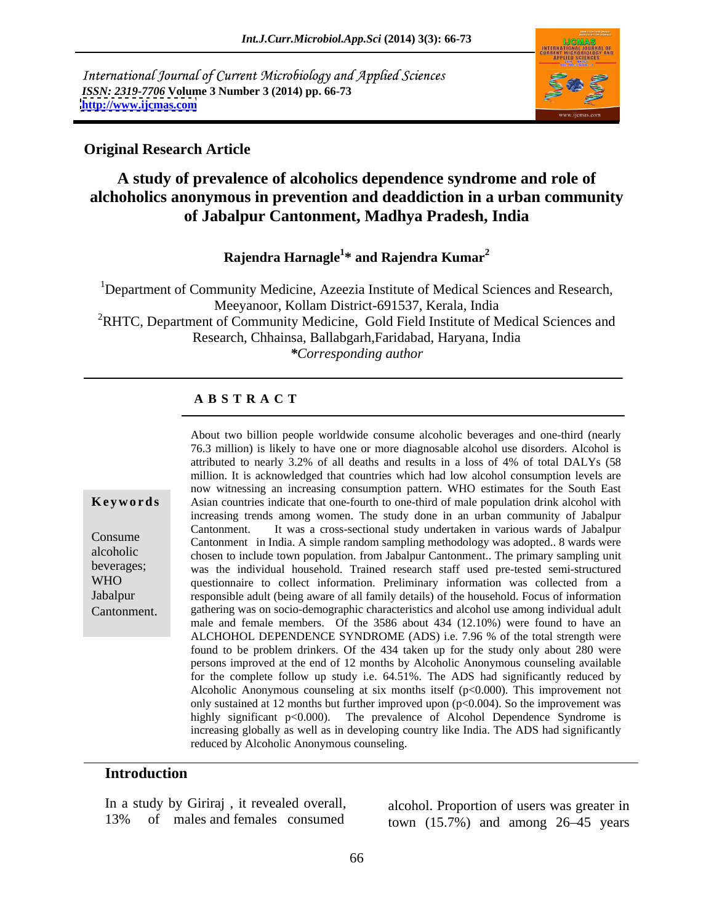International Journal of Current Microbiology and Applied Sciences *ISSN: 2319-7706* **Volume 3 Number 3 (2014) pp. 66-73 <http://www.ijcmas.com>**



### **Original Research Article**

# **A study of prevalence of alcoholics dependence syndrome and role of alchoholics anonymous in prevention and deaddiction in a urban community of Jabalpur Cantonment, Madhya Pradesh, India**

### **Rajendra Harnagle<sup>1</sup> \* and Rajendra Kumar<sup>2</sup>**

<sup>1</sup>Department of Community Medicine, Azeezia Institute of Medical Sciences and Research, Meeyanoor, Kollam District-691537, Kerala, India <sup>2</sup>RHTC, Department of Community Medicine, Gold Field Institute of Medical Sciences and Research, Chhainsa, Ballabgarh,Faridabad, Haryana, India *\*Corresponding author*

### **A B S T R A C T**

**Keywords** Asian countries indicate that one-fourth to one-third of male population drink alcohol with Consume Cantonment in India. A simple random sampling methodology was adopted.. 8 wards were expression of the chosen to include town population. from Jabalpur Cantonment.. The primary sampling unit beverages; was the individual household. Trained research staff used pre-tested semi-structured WHO questionnaire to collect information. Preliminary information was collected from a Jabalpur responsible adult (being aware of all family details) of the household. Focus of information About two billion people worldwide consume alcoholic beverages and one-third (nearly 76.3 million) is likely to have one or more diagnosable alcohol use disorders. Alcohol is atributed to nearly 3.2% of all deaths and resu 76.3 million) is likely to have one or more diagnosable alcohol use disorders. Alcohol is attributed to nearly 3.2% of all deaths and results in a loss of 4% of total DALYs (58 million. It is acknowledged that countries which had low alcohol consumption levels are now witnessing an increasing consumption pattern. WHO estimates for the South East increasing trends among women. The study done in an urban community of Jabalpur Cantonment. It was a cross-sectional study undertaken in various wards of Jabalpur gathering was on socio-demographic characteristics and alcohol use among individual adult male and female members. Of the 3586 about 434 (12.10%) were found to have an ALCHOHOL DEPENDENCE SYNDROME (ADS) i.e. 7.96 % of the total strength were found to be problem drinkers. Of the 434 taken up for the study only about 280 were persons improved at the end of 12 months by Alcoholic Anonymous counseling available for the complete follow up study i.e. 64.51%. The ADS had significantly reduced by Alcoholic Anonymous counseling at six months itself ( $p<0.000$ ). This improvement not only sustained at 12 months but further improved upon  $(p< 0.004)$ . So the improvement was highly significant p<0.000). The prevalence of Alcohol Dependence Syndrome is increasing globally as well as in developing country like India. The ADS had significantly reduced by Alcoholic Anonymous counseling.

### **Introduction**

In a study by Giriraj , it revealed overall,

13% of males and females consumed town (15.7%) and among 26–45 years alcohol. Proportion of users was greater in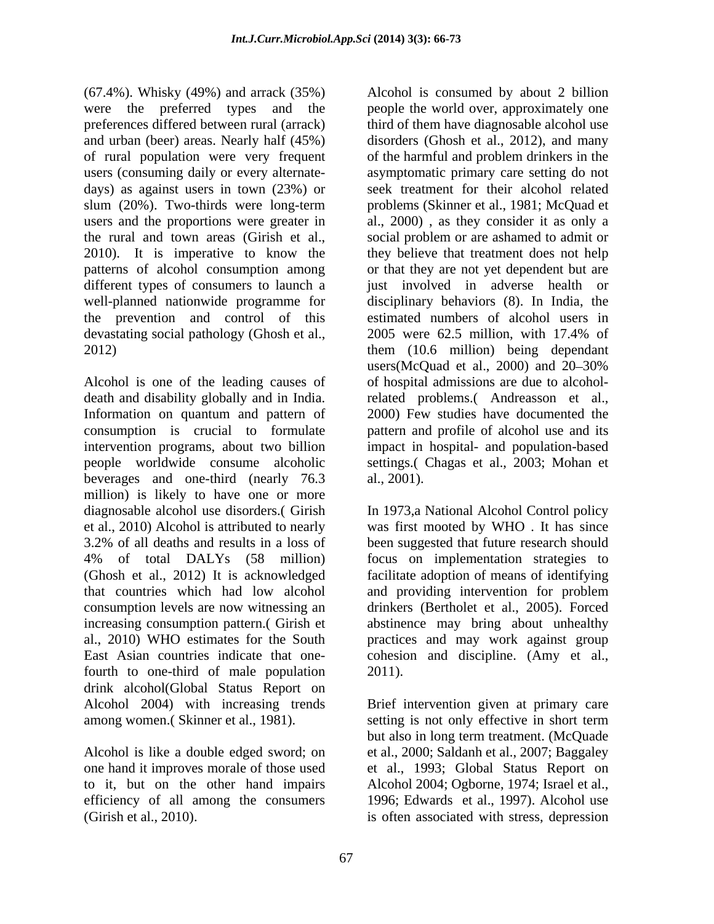(67.4%). Whisky (49%) and arrack (35%) Alcohol is consumed by about 2 billion were the preferred types and the people the world over, approximately one preferences differed between rural (arrack) third of them have diagnosable alcohol use and urban (beer) areas. Nearly half (45%) disorders (Ghosh et al., 2012), and many of rural population were very frequent of the harmful and problem drinkers in the users (consuming daily or every alternate- asymptomatic primary care setting do not days) as against users in town (23%) or slum (20%). Two-thirds were long-term users and the proportions were greater in al., 2000) , as they consider it as only a the rural and town areas (Girish et al., social problem or are ashamed to admit or 2010). It is imperative to know the they believe that treatment does not help patterns of alcohol consumption among different types of consumers to launch a just involved in adverse health or well-planned nationwide programme for disciplinary behaviors (8). In India, the the prevention and control of this devastating social pathology (Ghosh et al.,  $2005$  were 62.5 million, with 17.4% of 2012) them (10.6 million) being dependant

Alcohol is one of the leading causes of of hospital admissions are due to alcoholdeath and disability globally and in India. related problems.( Andreasson et al., Information on quantum and pattern of consumption is crucial to formulate pattern and profile of alcohol use and its intervention programs, about two billion impact in hospital- and population-based people worldwide consume alcoholic settings.( Chagas et al., 2003; Mohan et beverages and one-third (nearly 76.3 al., 2001). million) is likely to have one or more diagnosable alcohol use disorders.( Girish In 1973,a National Alcohol Control policy et al., 2010) Alcohol is attributed to nearly was first mooted by WHO . It has since 3.2% of all deaths and results in a loss of been suggested that future research should 4% of total DALYs (58 million) focus on implementation strategies to (Ghosh et al., 2012) It is acknowledged facilitate adoption of means of identifying that countries which had low alcohol consumption levels are now witnessing an drinkers (Bertholet et al., 2005). Forced increasing consumption pattern.( Girish et abstinence may bring about unhealthy al., 2010) WHO estimates for the South practices and may work against group East Asian countries indicate that onefourth to one-third of male population 2011). drink alcohol(Global Status Report on Alcohol 2004) with increasing trends Brief intervention given at primary care among women. (Skinner et al., 1981). Setting is not only effective in short term

seek treatment for their alcohol related problems (Skinner et al., 1981; McQuad et or that they are not yet dependent but are estimated numbers of alcohol users in 2005 were 62.5 million, with 17.4% of users(McQuad et al.,  $2000$ ) and  $20-30%$ 2000) Few studies have documented the al., 2001).

and providing intervention for problem cohesion and discipline. (Amy et al., 2011).

Alcohol is like a double edged sword; on et al., 2000; Saldanh et al., 2007; Baggaley one hand it improves morale of those used et al., 1993; Global Status Report on to it, but on the other hand impairs Alcohol 2004; Ogborne, 1974; Israel et al., efficiency of all among the consumers 1996; Edwards et al., 1997). Alcohol use (Girish et al., 2010). is often associated with stress, depressionsetting is not only effective in short term but also in long term treatment. (McQuade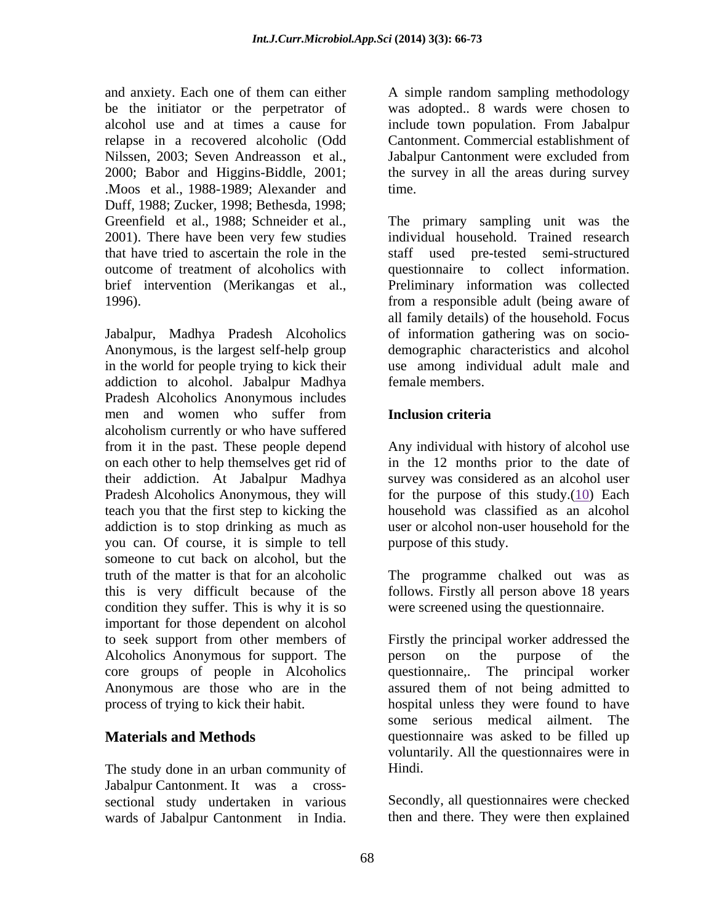and anxiety. Each one of them can either A simple random sampling methodology alcohol use and at times a cause for Nilssen, 2003; Seven Andreasson et al., .Moos et al., 1988-1989; Alexander and Duff, 1988; Zucker, 1998; Bethesda, 1998;

Jabalpur, Madhya Pradesh Alcoholics of information gathering was on socio- Anonymous, is the largest self-help group in the world for people trying to kick their addiction to alcohol. Jabalpur Madhya Pradesh Alcoholics Anonymous includes men and women who suffer from **Inclusion criteria** alcoholism currently or who have suffered from it in the past. These people depend Any individual with history of alcohol use on each other to help themselves getrid of in the 12 months prior to the date of their addiction. At Jabalpur Madhya Pradesh Alcoholics Anonymous, they will teach you that the first step to kicking the addiction is to stop drinking as much as you can. Of course, it is simple to tell someone to cut back on alcohol, but the truth of the matter is that for an alcoholic The programme chalked out was as this is very difficult because of the follows. Firstly all person above 18 years condition they suffer. This is why it is so important for those dependent on alcohol to seek support from other members of Firstly the principal worker addressed the Alcoholics Anonymous for support. The person on the purpose of the core groups of people in Alcoholics questionnaire,. The principal worker Anonymous are those who are in the assured them of not being admitted to and anxiety. Facts one of them can either a simpler and anxiety. Facts one of the minister or the particular control in the minister or the minister or the particular control in the simpler cantomy popularion. From Jabalp

The study done in an urban community of Hindi. Jabalpur Cantonment. It was a cross sectional study undertaken in various

be the initiator or the perpetrator of was adopted.. 8 wards were chosen to relapse in a recovered alcoholic (Odd Cantonment. Commercial establishment of 2000; Babor and Higgins-Biddle, 2001; the survey in all the areas during survey include town population. From Jabalpur Jabalpur Cantonment were excluded from time.

Greenfield et al., 1988; Schneider et al., The primary sampling unit was the 2001). There have been very few studies individual household. Trained research that have tried to ascertain the role in the staff used pre-tested semi-structured outcome of treatment of alcoholics with questionnaire to collect information. brief intervention (Merikangas et al., Preliminary information was collected 1996). from a responsible adult (being aware of The primary sampling unit was the individual household. Trained research all family details) of the household. Focus demographic characteristics and alcohol use among individual adult male and female members.

## **Inclusion criteria**

survey was considered as an alcohol user for the purpose of this study.(10) Each household was classified as an alcohol user or alcohol non-user household for the purpose of this study.

were screened using the questionnaire.

process of trying to kick their habit. hospital unless they were found to have **Materials and Methods and Separate 19 and Separate 10 and Separate 10 and Separate 10 and Separate 10 and Separate 10 and Separate 10 and Separate 10 and Separate 10 and Separate 10 and Separate 10 and Separate 10 and S** person on the purpose of the some serious medical ailment. The voluntarily. All the questionnaires were in Hindi.

> Secondly, all questionnaires were checked then and there. They were then explained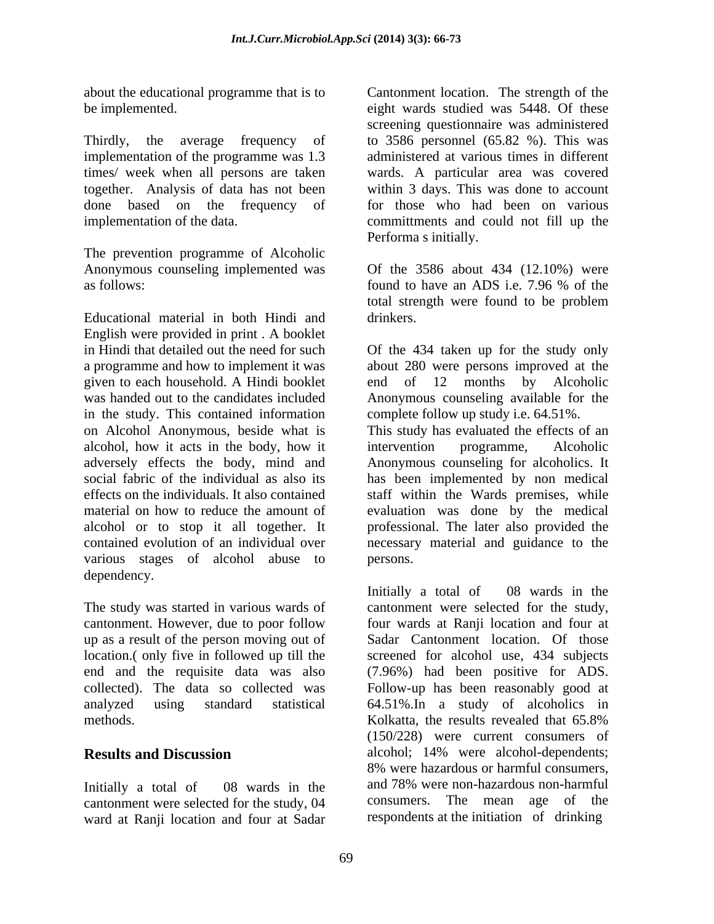about the educational programme that is to

Thirdly, the average frequency of to 3586 personnel (65.82 %). This was implementation of the programme was 1.3 times/ week when all persons are taken together. Analysis of data has not been done based on the frequency of for those who had been on various implementation of the data. committments and could not fill up the

The prevention programme of Alcoholic Anonymous counseling implemented was as follows: found to have an ADS i.e. 7.96 % of the

Educational material in both Hindi and English were provided in print . A booklet in Hindi that detailed out the need for such Of the 434 taken up for the study only a programme and how to implement it was about 280 were persons improved at the given to each household. A Hindi booklet end of 12 months by Alcoholic was handed out to the candidates included Anonymous counseling available for the in the study. This contained information on Alcohol Anonymous, beside what is This study has evaluated the effects of an alcohol, how it acts in the body, how it adversely effects the body, mind and Anonymous counseling for alcoholics. It social fabric of the individual as also its has been implemented by non medical effects on the individuals. It also contained staff within the Wards premises, while material on how to reduce the amount of evaluation was done by the medical alcohol or to stop it all together. It professional. The later also provided the contained evolution of an individual over necessary material and guidance to the various stages of alcohol abuse to dependency.

up as a result of the person moving out of end and the requisite data was also (7.96%) had been positive for ADS.<br>collected). The data so collected was Follow-up has been reasonably good at methods. The Solvette Rollean Solvette Rollean Solvette Rollean Solvette Rollean Solvette Rollean Solvette Rollean Solvette Rollean Solvette Rollean Solvette Rollean Solvette Rollean Solvette Rollean Solvette Rollean Solve

cantonment were selected for the study, 04 ward at Ranji location and four at Sadar

be implemented. eight wards studied was 5448. Of these Cantonment location. The strength of the screening questionnaire was administered administered at various times in different wards. A particular area was covered within 3 days. This was done to account Performa s initially.

> Of the 3586 about 434 (12.10%) were found to have an ADS i.e. 7.96 % of the total strength were found to be problem drinkers.

complete follow up study i.e. 64.51%.

intervention programme, Alcoholic persons.

The study was started in various wards of cantonment were selected for the study, cantonment. However, due to poor follow four wards at Ranji location and four at location.( only five in followed up till the screened for alcohol use, 434 subjects Follow-up has been reasonably good at analyzed using standard statistical 64.51%.In a study of alcoholics in **Results and Discussion** alcohol; 14% were alcohol-dependents;<br>8% were hazardous or harmful consumers. Initially a total of 08 wards in the and 78% were non-hazardous non-harmful Initially a total of 08 wards in the Sadar Cantonment location. Of those (7.96%) had been positive for ADS. Follow-up has been reasonably good at Kolkatta, the results revealed that 65.8% (150/228) were current consumers of alcohol; 14% were alcohol-dependents; 8% were hazardous or harmful consumers, and 78% were non-hazardous non-harmful consumers. The mean age of the respondents at the initiation of drinking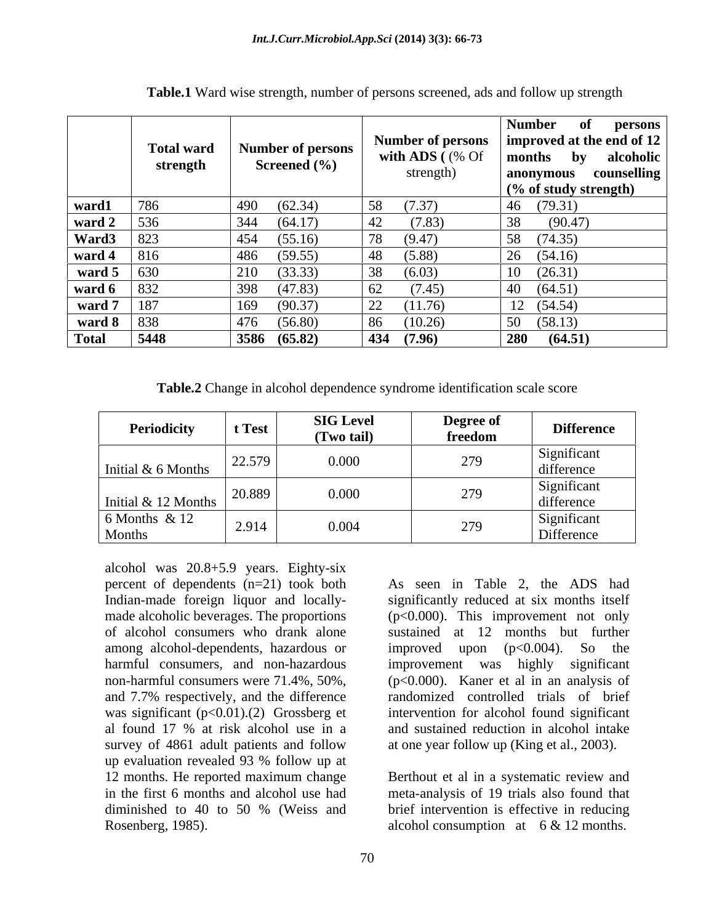|              | <b>Total ward</b><br>strength | <b>Number of persons</b><br>Screened $(\% )$ | <b>Number of persons</b><br>with ADS $($ (% Of<br>strength) | <b>Number</b><br>persons<br>- of<br>  improved at the end of 12  <br>alcoholic<br>months<br>by<br>counselling<br>anonymous<br>(% of study strength) |
|--------------|-------------------------------|----------------------------------------------|-------------------------------------------------------------|-----------------------------------------------------------------------------------------------------------------------------------------------------|
| ward1        | 786                           | 490<br>(62.34)                               | (7.37)<br>58                                                | $46$ (79.31)                                                                                                                                        |
| ward 2       | 536                           | (64.17)<br>344                               | (7.83)<br>42                                                | 38<br>(90.47)                                                                                                                                       |
| Ward3        | 823                           | (55.16)<br>454                               | 78 (9.47)                                                   | 58 (74.35)                                                                                                                                          |
| ward 4       | 816                           | 486<br>(59.55)                               | (5.88)<br>48                                                | 26(54.16)                                                                                                                                           |
| ward 5       | 630                           | 210<br>(33.33)                               | (6.03)<br>38                                                | 10(26.31)                                                                                                                                           |
| ward 6       | 832                           | 398<br>(47.83)                               | (7.45)<br>62                                                | $\begin{vmatrix} 40 & (64.51) \end{vmatrix}$                                                                                                        |
| ward 7       | 187                           | (90.37)<br>169                               | 22(11.76)                                                   | 12 (54.54)                                                                                                                                          |
| ward 8       | 838                           | (56.80)<br>476                               | (10.26)<br>86                                               | 50(58.13)                                                                                                                                           |
| <b>Total</b> | 5448                          | 3586 (65.82)                                 | $\vert 434 \; (7.96) \vert$                                 | <b>280</b><br>(64.51)                                                                                                                               |

**Table.1** Ward wise strength, number of persons screened, ads and follow up strength

**Table.2** Change in alcohol dependence syndrome identification scale score

| <b>Periodicity</b>        | t Test | <b>SIG Level</b><br>(Two tail) | Degree of<br>freedom   | <b>Difference</b>         |
|---------------------------|--------|--------------------------------|------------------------|---------------------------|
| Initial & 6 Months        | 22.579 | 0.000                          | 270<br>$\sim$ $\prime$ | Significant<br>difference |
| Initial $& 12$ Months     | 20.889 | 0.000                          | 270<br>212             | Significant<br>difference |
| 6 Months $& 12$<br>Month. | 2.914  | 0.004                          | 270<br>$\sim$ 1        | Significant<br>Difference |

alcohol was 20.8+5.9 years. Eighty-six percent of dependents (n=21) took both As seen in Table 2, the ADS had among alcohol-dependents, hazardous or improved upon (p<0.004). So the harmful consumers, and non-hazardous improvement was highly significant and 7.7% respectively, and the difference survey of 4861 adult patients and follow up evaluation revealed 93 % follow up at 12 months. He reported maximum change Berthout et al in a systematic review and in the first 6 months and alcohol use had meta-analysis of 19 trials also found that diminished to 40 to 50 % (Weiss and brief intervention is effective in reducing Rosenberg, 1985). alcohol consumption at 6 & 12 months.

Indian-made foreign liquor and locally- significantly reduced at six months itself made alcoholic beverages. The proportions ( $p<0.000$ ). This improvement not only of alcohol consumers who drank alone sustained at 12 months but further non-harmful consumers were 71.4%, 50%, (p<0.000). Kaner et al in an analysis of was significant (p<0.01).(2) Grossberg et intervention for alcohol found significant al found 17 % at risk alcohol use in a improved upon (p<0.004). So the improvement was highly significant randomized controlled trials of brief and sustained reduction in alcohol intake at one year follow up (King et al., 2003).

brief intervention is effective in reducing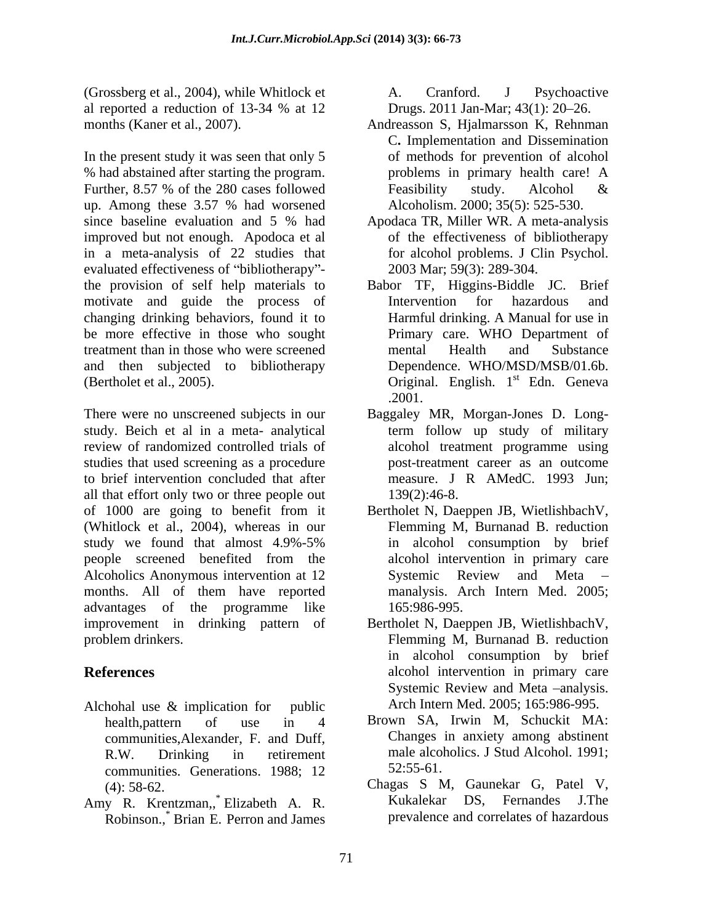(Grossberg et al., 2004), while Whitlock et al reported a reduction of 13-34 % at 12

In the present study it was seen that only 5 % had abstained after starting the program. Further, 8.57 % of the 280 cases followed Feasibility study. Alcohol & up. Among these 3.57 % had worsened since baseline evaluation and 5 % had Apodaca TR, Miller WR. A meta-analysis improved but not enough. Apodoca et al in a meta-analysis of 22 studies that evaluated effectiveness of "bibliotherapy"the provision of self help materials to Babor TF, Higgins-Biddle JC. Brief motivate and guide the process of changing drinking behaviors, found it to be more effective in those who sought treatment than in those who were screened and then subjected to bibliotherapy (Bertholet et al., 2005). Criginal. English. 1<sup>st</sup> Edn. Geneva

There were no unscreened subjects in our Baggaley MR, Morgan-Jones D. Longstudy. Beich et al in a meta- analytical review of randomized controlled trials of alcohol treatment programme using studies that used screening as a procedure to brief intervention concluded that after all that effort only two or three people out 139(2):46-8. of 1000 are going to benefit from it Bertholet N, Daeppen JB, WietlishbachV, (Whitlock et al., 2004), whereas in our study we found that almost 4.9%-5% people screened benefited from the alcohol intervention in primary care Alcoholics Anonymous intervention at 12 Systemic Review and Meta months. All of them have reported advantages of the programme like improvement in drinking pattern of Bertholet N, Daeppen JB, WietlishbachV,

- Alchohal use & implication for public Arch Intern Med. 2005; 165:986-995. communities,Alexander, F. and Duff, communities. Generations. 1988; 12
- Amy R. Krentzman,, Elizabeth A. R. Kukalekar DS, Fernandes J. The Robinson., Erian E. Perron and James prevalence and correlates of hazardous

A. Cranford. J Psychoactive Drugs. 2011 Jan-Mar; 43(1): 20–26.

- months (Kaner et al., 2007). Andreasson S, Hjalmarsson K, Rehnman C**.** Implementation and Dissemination of methods for prevention of alcohol problems in primary health care! A Feasibility study. Alcohol & Alcoholism. 2000; 35(5): 525-530.
	- Apodaca TR, Miller WR. A meta-analysis of the effectiveness of bibliotherapy for alcohol problems. J Clin Psychol. 2003 Mar; 59(3): 289-304.
	- Intervention for hazardous and Harmful drinking. A Manual for use in Primary care. WHO Department of mental Health and Substance Dependence. WHO/MSD/MSB/01.6b. st Edn. Geneva .2001.
	- term follow up study of military post-treatment career as an outcome measure. J R AMedC. 1993 Jun; 139(2):46-8.
	- Flemming M, Burnanad B. reduction in alcohol consumption by brief alcohol intervention in primary care Systemic Review and Meta manalysis. Arch Intern Med. 2005; 165:986-995.
- problem drinkers. Flemming M, Burnanad B. reduction **References**  alcohol intervention in primary care in alcohol consumption by brief Systemic Review and Meta -analysis. Arch Intern Med. 2005; 165:986-995.
	- health,pattern of use in 4 Brown SA, Irwin M, Schuckit MA: R.W. Drinking in retirement male alcoholics. J Stud Alcohol. 1991; Changes in anxiety among abstinent 52:55-61.
	- (4): 58-62. Chagas S M, Gaunekar G, Patel V, Kukalekar DS, Fernandes J.The prevalence and correlates of hazardous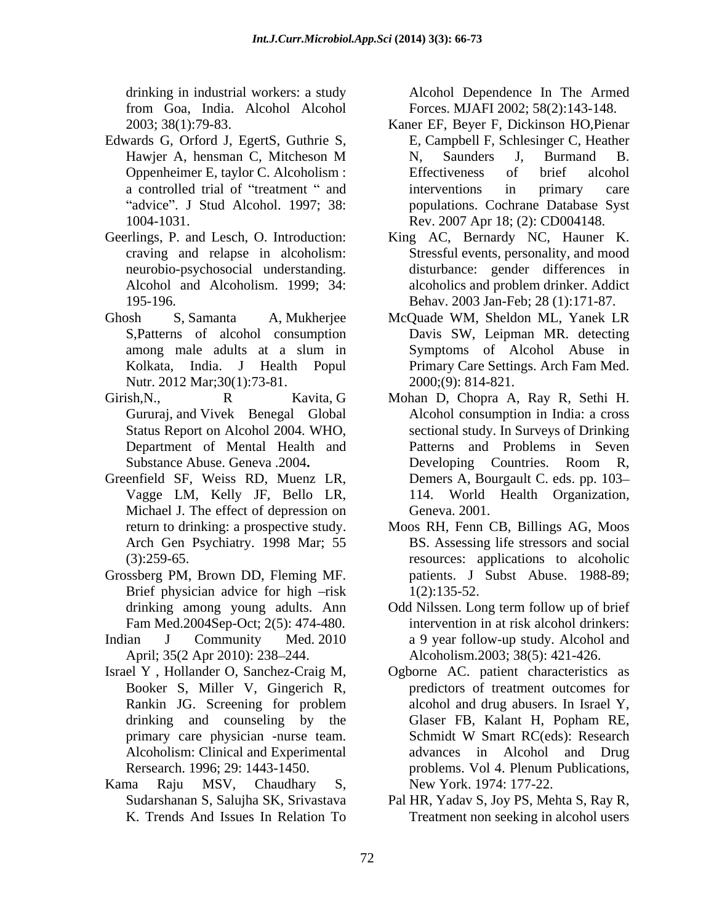drinking in industrial workers: a study

- Edwards G, Orford J, EgertS, Guthrie S,
- 
- Nutr. 2012 Mar;30(1):73-81.
- Department of Mental Health and
- Greenfield SF, Weiss RD, Muenz LR, Michael J. The effect of depression on Geneva. 2001.
- Grossberg PM, Brown DD, Fleming MF. Brief physician advice for high  $-risk$  1(2):135-52. Fam Med.2004Sep-Oct; 2(5): 474-480.
- April; 35(2 Apr 2010): 238-244.
- Booker S, Miller V, Gingerich R,
- 

from Goa, India. Alcohol Alcohol Alcohol Dependence In The Armed Forces. MJAFI 2002; 58(2):143-148.

- 2003; 38(1):79-83. Kaner EF, Beyer F, Dickinson HO,Pienar Hawjer A, hensman C, Mitcheson M Oppenheimer E, taylor C. Alcoholism : a controlled trial of "treatment " and interventions in primary care advice". J Stud Alcohol. 1997; 38: populations. Cochrane Database Syst 1004-1031. Rev. 2007 Apr 18; (2): CD004148. E, Campbell F, Schlesinger C, Heather N, Saunders J, Burmand B. Effectiveness of brief alcohol interventions in primary care
- Geerlings, P. and Lesch, O. Introduction: King AC, Bernardy NC, Hauner K. craving and relapse in alcoholism: Stressful events, personality, and mood neurobio-psychosocial understanding. disturbance: gender differences in Alcohol and Alcoholism. 1999; 34: alcoholics and problem drinker. Addict 195-196. Behav. 2003 Jan-Feb; 28 (1):171-87.
- Ghosh S, Samanta A, Mukherjee McQuade WM, Sheldon ML, Yanek LR S,Patterns of alcohol consumption Davis SW, Leipman MR. detecting among male adults at a slum in Kolkata, India. J Health Popul Primary Care Settings. Arch Fam Med. Symptoms of Alcohol Abuse in 2000;(9): 814-821.
- Girish,N., R Kavita, G Mohan D, Chopra A, Ray R, Sethi H. Gururaj, and Vivek Benegal Global Alcohol consumption in India: a cross Status Report on Alcohol 2004. WHO, sectional study. In Surveys of Drinking Substance Abuse. Geneva .2004. **Developing Countries. Room R.** Vagge LM, Kelly JF, Bello LR, 114. World Health Organization, Patterns and Problems in Seven Developing Countries. Room R, Demers A, Bourgault C. eds. pp. 103 Geneva. 2001.
	- return to drinking: a prospective study. Moos RH, Fenn CB, Billings AG, Moos Arch Gen Psychiatry. 1998 Mar; 55 BS. Assessing life stressors and social (3):259-65. resources: applications to alcoholic patients. J Subst Abuse. 1988-89; 1(2):135-52.
- drinking among young adults. Ann Odd Nilssen. Long term follow up of brief Indian J Community Med. 2010 a 9 year follow-up study. Alcohol and Odd Nilssen. Long term follow up of brief intervention in at risk alcohol drinkers: Alcoholism.2003; 38(5): 421-426.
- Israel Y , Hollander O, Sanchez-Craig M, Ogborne AC. patient characteristics as Rankin JG. Screening for problem alcohol and drug abusers. In Israel Y, drinking and counseling by the Glaser FB, Kalant H, Popham RE, primary care physician -nurse team. Schmidt W Smart RC(eds): Research Alcoholism: Clinical and Experimental advances in Alcohol and Drug Rersearch. 1996; 29: 1443-1450. The problems. Vol 4. Plenum Publications. Kama Raju MSV, Chaudhary S, predictors of treatment outcomes for alcohol and drug abusers. In Israel Y, Glaser FB, Kalant H, Popham RE, Schmidt W Smart RC(eds): Research problems. Vol 4. Plenum Publications, New York. 1974: 177-22.
	- Sudarshanan S, Salujha SK, Srivastava Pal HR, Yadav S, Joy PS, Mehta S, Ray R, K. Trends And Issues In Relation To Treatment non seeking in alcohol users